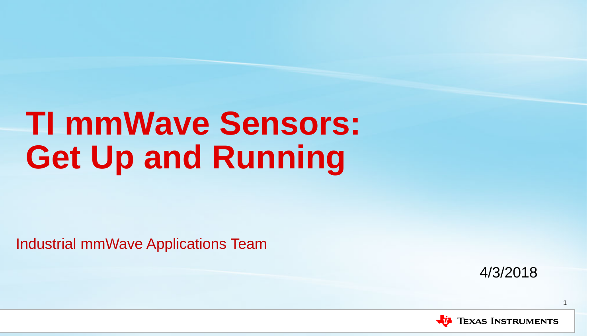# **TI mmWave Sensors: Get Up and Running**

Industrial mmWave Applications Team

4/3/2018

1

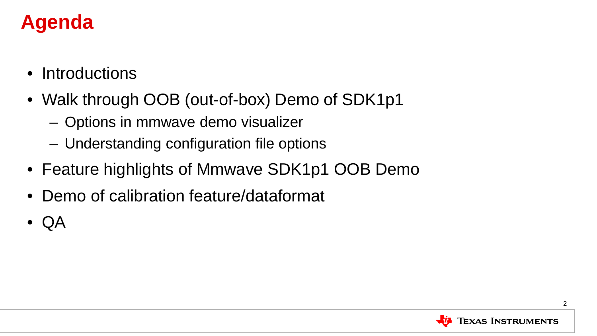#### **Agenda**

- Introductions
- Walk through OOB (out-of-box) Demo of SDK1p1
	- Options in mmwave demo visualizer
	- Understanding configuration file options
- Feature highlights of Mmwave SDK1p1 OOB Demo
- Demo of calibration feature/dataformat
- QA

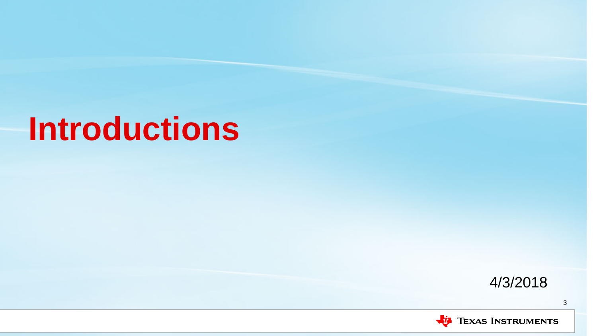## **Introductions**



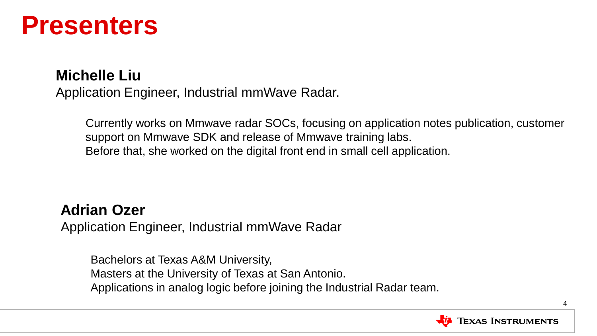### **Presenters**

#### **Michelle Liu**

Application Engineer, Industrial mmWave Radar.

Currently works on Mmwave radar SOCs, focusing on application notes publication, customer support on Mmwave SDK and release of Mmwave training labs. Before that, she worked on the digital front end in small cell application.

#### **Adrian Ozer**

Application Engineer, Industrial mmWave Radar

Bachelors at Texas A&M University, Masters at the University of Texas at San Antonio. Applications in analog logic before joining the Industrial Radar team.

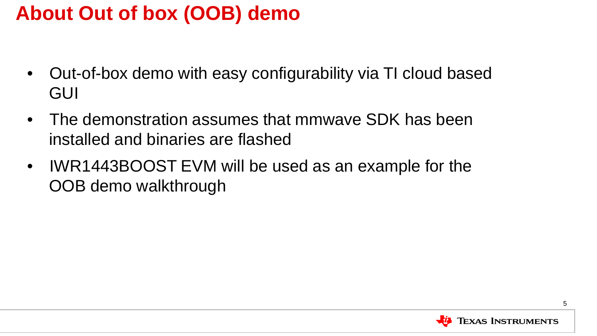### **About Out of box (OOB) demo**

- Out-of-box demo with easy configurability via TI cloud based GUI
- The demonstration assumes that mmwave SDK has been installed and binaries are flashed
- IWR1443BOOST EVM will be used as an example for the OOB demo walkthrough

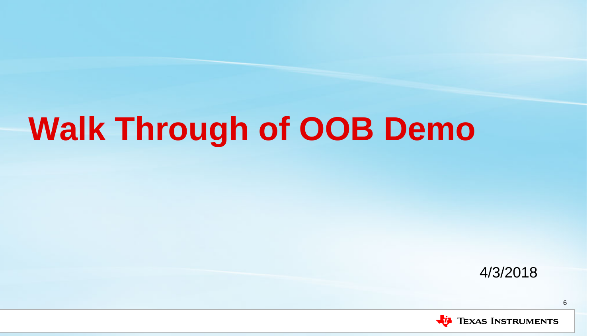## **Walk Through of OOB Demo**

4/3/2018



6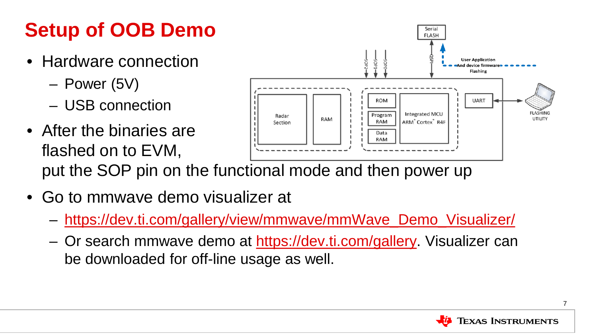### **Setup of OOB Demo**

- Hardware connection
	- Power (5V)
	- USB connection
- After the binaries are Data RAM flashed on to EVM, put the SOP pin on the functional mode and then power up
- Go to mmwave demo visualizer at
	- [https://dev.ti.com/gallery/view/mmwave/mmWave\\_Demo\\_Visualizer/](https://dev.ti.com/gallery/view/mmwave/mmWave_Demo_Visualizer/)
	- Or search mmwave demo at [https://dev.ti.com/gallery.](https://dev.ti.com/gallery) Visualizer can be downloaded for off-line usage as well.



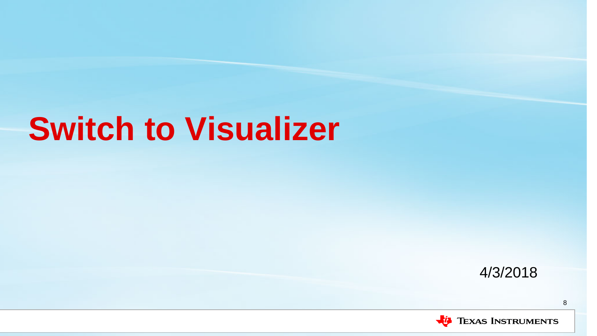## **Switch to Visualizer**

4/3/2018



8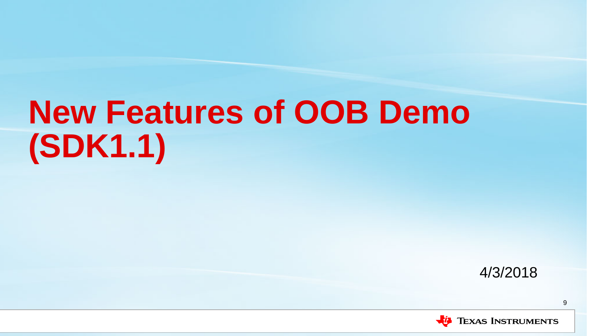# **New Features of OOB Demo (SDK1.1)**

4/3/2018

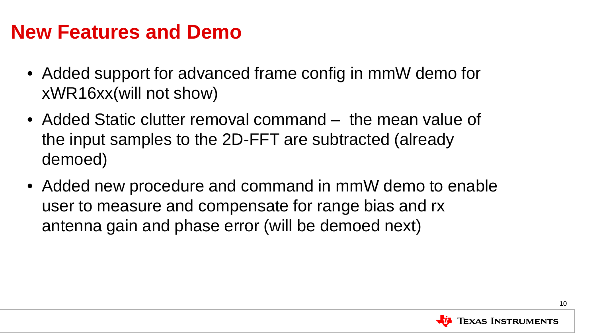#### **New Features and Demo**

- Added support for advanced frame config in mmW demo for xWR16xx(will not show)
- Added Static clutter removal command the mean value of the input samples to the 2D-FFT are subtracted (already demoed)
- Added new procedure and command in mmW demo to enable user to measure and compensate for range bias and rx antenna gain and phase error (will be demoed next)

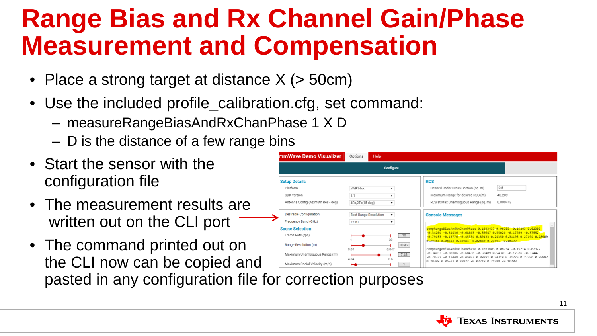### **Range Bias and Rx Channel Gain/Phase Measurement and Compensation**

- Place a strong target at distance X (> 50cm)
- Use the included profile\_calibration.cfg, set command:
	- measureRangeBiasAndRxChanPhase 1 X D
	- D is the distance of a few range bins
- Start the sensor with the configuration file
- The measurement results are written out on the CLI port
- The command printed out on Range Resolution (m)  $0.042$ 0.047 Maximum Unambiguous Range (m)  $7.48$ the CLI now can be copied and Maximum Radial Velocity (m/s) pasted in any configuration file for correction purposes



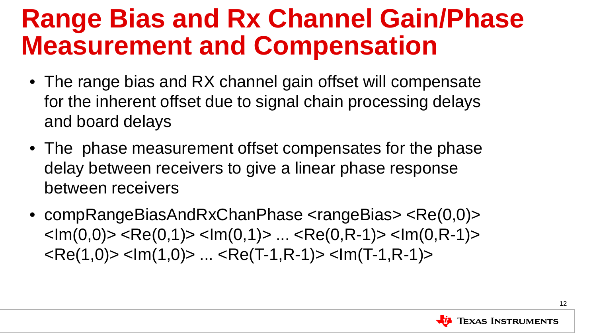### **Range Bias and Rx Channel Gain/Phase Measurement and Compensation**

- The range bias and RX channel gain offset will compensate for the inherent offset due to signal chain processing delays and board delays
- The phase measurement offset compensates for the phase delay between receivers to give a linear phase response between receivers
- compRangeBiasAndRxChanPhase <rangeBias> <Re(0,0)>  $\langle 1 m(0,0) \rangle$   $\langle Re(0,1) \rangle$   $\langle Im(0,1) \rangle$  ...  $\langle Re(0,R-1) \rangle$   $\langle Im(0,R-1) \rangle$  $<$ Re(1,0)  $>$   $<$ Im(1,0)  $>$  ...  $<$ Re(T-1,R-1)  $>$   $<$ Im(T-1,R-1)  $>$

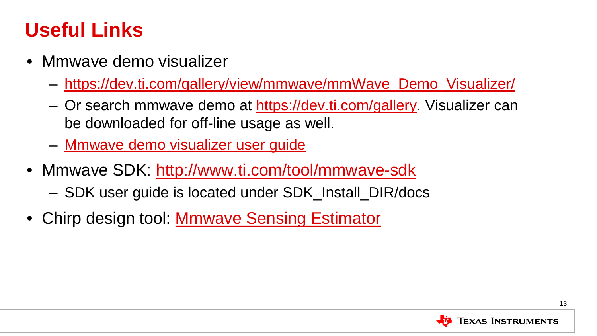#### **Useful Links**

- Mmwave demo visualizer
	- [https://dev.ti.com/gallery/view/mmwave/mmWave\\_Demo\\_Visualizer/](https://dev.ti.com/gallery/view/mmwave/mmWave_Demo_Visualizer/)
	- Or search mmwave demo at [https://dev.ti.com/gallery.](https://dev.ti.com/gallery) Visualizer can be downloaded for off-line usage as well.
	- [Mmwave demo visualizer user guide](http://www.ti.com/lit/ug/swru529a/swru529a.pdf)
- Mmwave SDK:<http://www.ti.com/tool/mmwave-sdk>
	- SDK user guide is located under SDK\_Install\_DIR/docs
- Chirp design tool: **[Mmwave Sensing Estimator](https://dev.ti.com/gallery/view/1792614/mmWaveSensingEstimator/)**

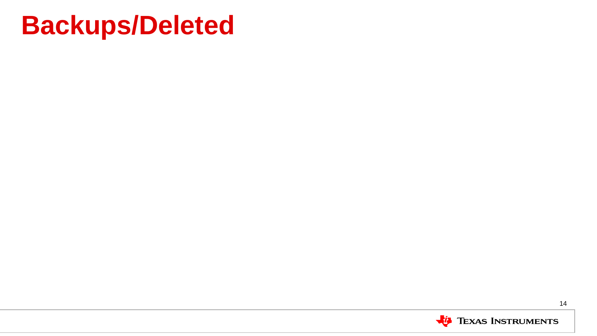### **Backups/Deleted**

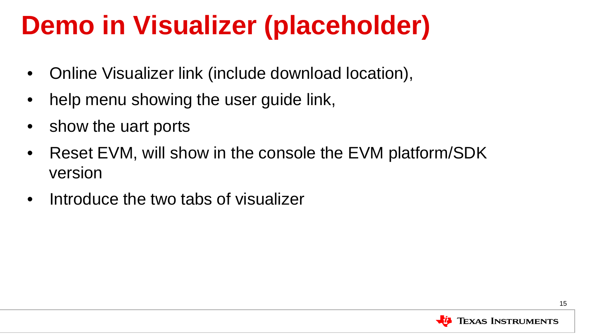### **Demo in Visualizer (placeholder)**

- Online Visualizer link (include download location),
- help menu showing the user guide link,
- show the uart ports
- Reset EVM, will show in the console the EVM platform/SDK version
- Introduce the two tabs of visualizer

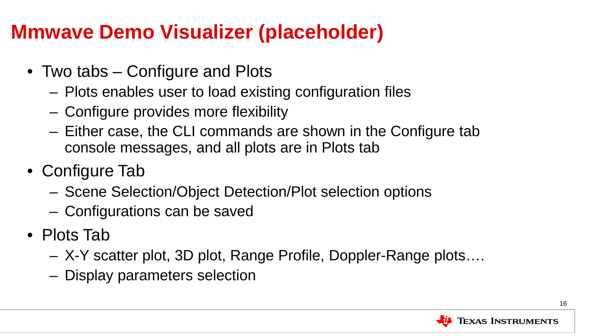### **Mmwave Demo Visualizer (placeholder)**

- Two tabs Configure and Plots
	- Plots enables user to load existing configuration files
	- Configure provides more flexibility
	- Either case, the CLI commands are shown in the Configure tab console messages, and all plots are in Plots tab
- Configure Tab
	- Scene Selection/Object Detection/Plot selection options
	- Configurations can be saved
- Plots Tab
	- X-Y scatter plot, 3D plot, Range Profile, Doppler-Range plots….
	- Display parameters selection

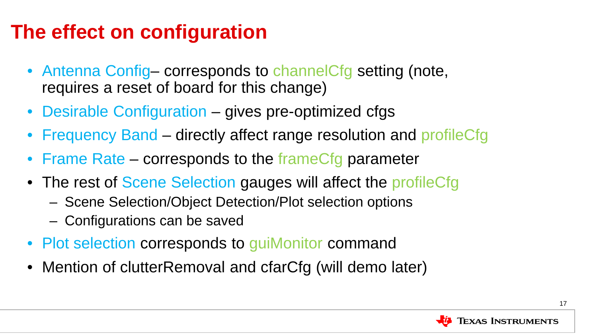### **The effect on configuration**

- Antenna Config-corresponds to channelCfg setting (note, requires a reset of board for this change)
- Desirable Configuration gives pre-optimized cfgs
- Frequency Band directly affect range resolution and profileCfg
- Frame Rate corresponds to the frameCfg parameter
- The rest of Scene Selection gauges will affect the profileCfg
	- Scene Selection/Object Detection/Plot selection options
	- Configurations can be saved
- Plot selection corresponds to guiMonitor command
- Mention of clutterRemoval and cfarCfg (will demo later)

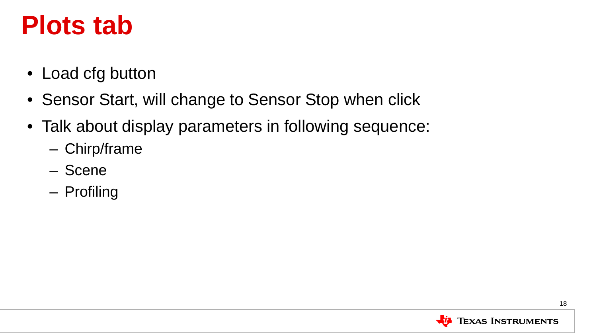### **Plots tab**

- Load cfg button
- Sensor Start, will change to Sensor Stop when click
- Talk about display parameters in following sequence:
	- Chirp/frame
	- Scene
	- Profiling

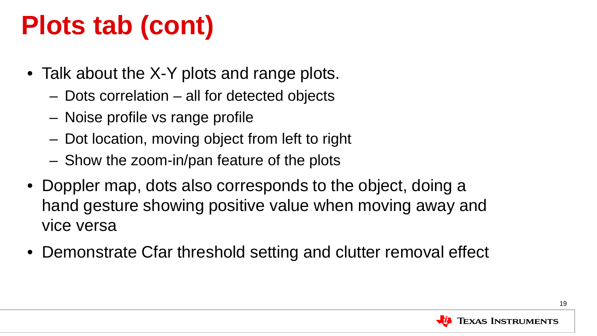## **Plots tab (cont)**

- Talk about the X-Y plots and range plots.
	- Dots correlation all for detected objects
	- Noise profile vs range profile
	- Dot location, moving object from left to right
	- Show the zoom-in/pan feature of the plots
- Doppler map, dots also corresponds to the object, doing a hand gesture showing positive value when moving away and vice versa
- Demonstrate Cfar threshold setting and clutter removal effect

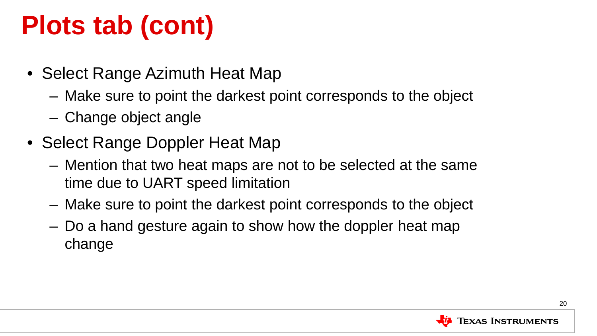## **Plots tab (cont)**

- Select Range Azimuth Heat Map
	- Make sure to point the darkest point corresponds to the object
	- Change object angle
- Select Range Doppler Heat Map
	- Mention that two heat maps are not to be selected at the same time due to UART speed limitation
	- Make sure to point the darkest point corresponds to the object
	- Do a hand gesture again to show how the doppler heat map change

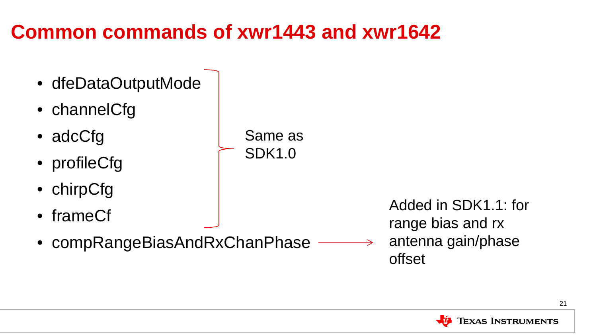### **Common commands of xwr1443 and xwr1642**

• dfeDataOutputMode • channelCfg • adcCfg • profileCfg • chirpCfg • frameCf • compRangeBiasAndRxChanPhase Same as SDK1.0 Added in SDK1.1: for range bias and rx antenna gain/phase offset